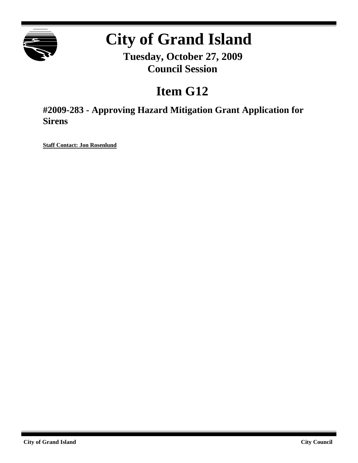

# **City of Grand Island**

**Tuesday, October 27, 2009 Council Session**

# **Item G12**

**#2009-283 - Approving Hazard Mitigation Grant Application for Sirens**

**Staff Contact: Jon Rosenlund**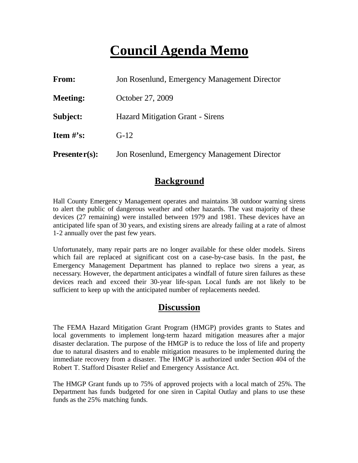# **Council Agenda Memo**

| From:           | Jon Rosenlund, Emergency Management Director |  |
|-----------------|----------------------------------------------|--|
| <b>Meeting:</b> | October 27, 2009                             |  |
| Subject:        | <b>Hazard Mitigation Grant - Sirens</b>      |  |
| Item $\#$ 's:   | $G-12$                                       |  |
| $Presenter(s):$ | Jon Rosenlund, Emergency Management Director |  |

### **Background**

Hall County Emergency Management operates and maintains 38 outdoor warning sirens to alert the public of dangerous weather and other hazards. The vast majority of these devices (27 remaining) were installed between 1979 and 1981. These devices have an anticipated life span of 30 years, and existing sirens are already failing at a rate of almost 1-2 annually over the past few years.

Unfortunately, many repair parts are no longer available for these older models. Sirens which fail are replaced at significant cost on a case-by-case basis. In the past, the Emergency Management Department has planned to replace two sirens a year, as necessary. However, the department anticipates a windfall of future siren failures as these devices reach and exceed their 30-year life-span. Local funds are not likely to be sufficient to keep up with the anticipated number of replacements needed.

### **Discussion**

The FEMA Hazard Mitigation Grant Program (HMGP) provides grants to States and local governments to implement long-term hazard mitigation measures after a major disaster declaration. The purpose of the HMGP is to reduce the loss of life and property due to natural disasters and to enable mitigation measures to be implemented during the immediate recovery from a disaster. The HMGP is authorized under Section 404 of the Robert T. Stafford Disaster Relief and Emergency Assistance Act.

The HMGP Grant funds up to 75% of approved projects with a local match of 25%. The Department has funds budgeted for one siren in Capital Outlay and plans to use these funds as the 25% matching funds.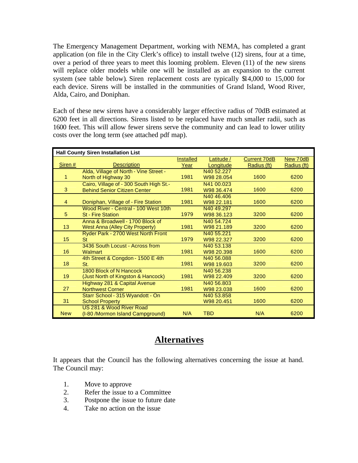The Emergency Management Department, working with NEMA, has completed a grant application (on file in the City Clerk's office) to install twelve (12) sirens, four at a time, over a period of three years to meet this looming problem. Eleven (11) of the new sirens will replace older models while one will be installed as an expansion to the current system (see table below). Siren replacement costs are typically \$14,000 to 15,000 for each device. Sirens will be installed in the communities of Grand Island, Wood River, Alda, Cairo, and Doniphan.

Each of these new sirens have a considerably larger effective radius of 70dB estimated at 6200 feet in all directions. Sirens listed to be replaced have much smaller radii, such as 1600 feet. This will allow fewer sirens serve the community and can lead to lower utility costs over the long term (see attached pdf map).

| <b>Hall County Siren Installation List</b> |                                         |                  |                        |                     |             |  |  |
|--------------------------------------------|-----------------------------------------|------------------|------------------------|---------------------|-------------|--|--|
|                                            |                                         | <b>Installed</b> | Latitude /             | <b>Current 70dB</b> | New 70dB    |  |  |
| Siren #                                    | <b>Description</b>                      | Year             | Longitude              | Radius (ft)         | Radius (ft) |  |  |
|                                            | Alda, Village of North - Vine Street -  |                  | N40 52.227             |                     |             |  |  |
| 1                                          | North of Highway 30                     | 1981             | W98 28.054             | 1600                | 6200        |  |  |
|                                            | Cairo, Village of - 300 South High St.- |                  | N41 00.023             |                     |             |  |  |
| 3                                          | <b>Behind Senior Citizen Center</b>     | 1981             | W98 36.474             | 1600                | 6200        |  |  |
|                                            |                                         |                  | N40 46.406             |                     |             |  |  |
| 4                                          | Doniphan, Village of - Fire Station     | 1981             | W98 22.181             | 1600                | 6200        |  |  |
|                                            | Wood River - Central - 100 West 10th    |                  | N <sub>40</sub> 49.297 |                     |             |  |  |
| 5                                          | <b>St - Fire Station</b>                | 1979             | W98 36.123             | 3200                | 6200        |  |  |
|                                            | Anna & Broadwell - 1700 Block of        |                  | N40 54.724             |                     |             |  |  |
| 13                                         | <b>West Anna (Alley City Property)</b>  | 1981             | W98 21.189             | 3200                | 6200        |  |  |
|                                            | Ryder Park - 2700 West North Front      |                  | N40 55.221             |                     |             |  |  |
| 15                                         | <b>St</b>                               | 1979             | W98 22.327             | 3200                | 6200        |  |  |
|                                            | 3436 South Locust - Across from         |                  | N40 53.138             |                     |             |  |  |
| 16                                         | <b>Walmart</b>                          | 1981             | W98 20.398             | 1600                | 6200        |  |  |
|                                            | 4th Street & Congdon - 1500 E 4th       |                  | N40 56,088             |                     |             |  |  |
| 18                                         | St.                                     | 1981             | W98 19.603             | 3200                | 6200        |  |  |
|                                            | 1800 Block of N Hancock                 |                  | N40 56.238             |                     |             |  |  |
| 19                                         | (Just North of Kingston & Hancock)      | 1981             | W98 22.409             | 3200                | 6200        |  |  |
|                                            | <b>Highway 281 &amp; Capital Avenue</b> |                  | N40 56,803             |                     |             |  |  |
| 27                                         | <b>Northwest Corner</b>                 | 1981             | W98 23,038             | 1600                | 6200        |  |  |
|                                            | Starr School - 315 Wyandott - On        |                  | N40 53.858             |                     |             |  |  |
| 31                                         | <b>School Property</b>                  |                  | W98 20.451             | 1600                | 6200        |  |  |
|                                            | US 281 & Wood River Road                |                  |                        |                     |             |  |  |
| <b>New</b>                                 | (I-80 /Mormon Island Campground)        | N/A              | <b>TBD</b>             | N/A                 | 6200        |  |  |

## **Alternatives**

It appears that the Council has the following alternatives concerning the issue at hand. The Council may:

- 1. Move to approve
- 2. Refer the issue to a Committee
- 3. Postpone the issue to future date
- 4. Take no action on the issue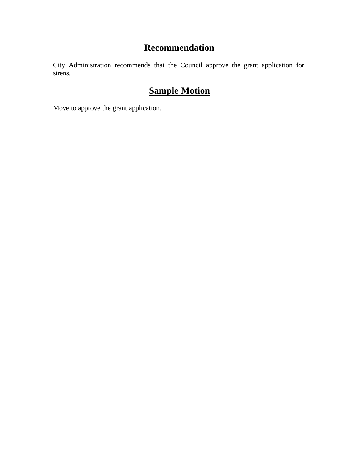# **Recommendation**

City Administration recommends that the Council approve the grant application for sirens.

# **Sample Motion**

Move to approve the grant application.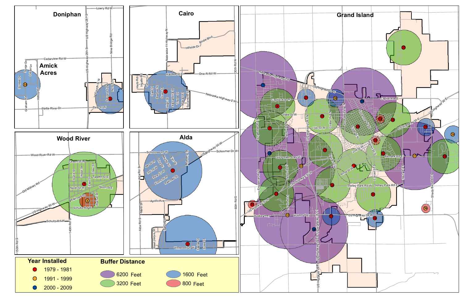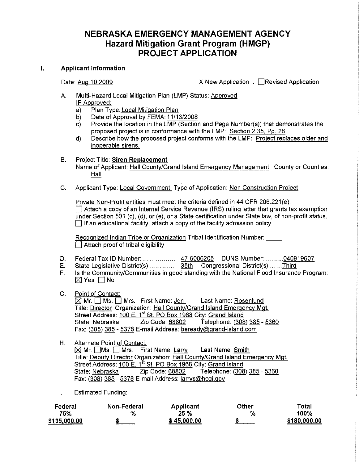### NEBRASKA EMERGENCY MANAGEMENT AGENCY **Hazard Mitigation Grant Program (HMGP) PROJECT APPLICATION**

#### $\mathbf{L}$ **Applicant Information**

Date: Aug 10 2009

X New Application . □ Revised Application

- Multi-Hazard Local Mitigation Plan (LMP) Status: Approved  $A_{-}$ IF Approved:
	- Plan Type: Local Mitigation Plan a)
	- Date of Approval by FEMA: 11/13/2008 b)
	- Provide the location in the LMP (Section and Page Number(s)) that demonstrates the  $\mathsf{c}$ ) proposed project is in conformance with the LMP: Section 2.35, Pg. 28
	- $\mathsf{d}$ Describe how the proposed project conforms with the LMP: Project replaces older and inoperable sirens.
- В. **Project Title: Siren Replacement** Name of Applicant: Hall County/Grand Island Emergency Management County or Counties: Hall
- Applicant Type: Local Government Type of Application: Non Construction Project C.

Private Non-Profit entities must meet the criteria defined in 44 CFR 206.221(e).  $\Box$  Attach a copy of an Internal Service Revenue (IRS) ruling letter that grants tax exemption under Section 501 (c), (d), or (e), or a State certification under State law, of non-profit status.  $\Box$  If an educational facility, attach a copy of the facility admission policy.

Recognized Indian Tribe or Organization Tribal Identification Number: Attach proof of tribal eligibility

- Federal Tax ID Number: ................. 47-6006205 DUNS Number: .........040919607 D.
- Е.
- Is the Community/Communities in good standing with the National Flood Insurance Program:  $F_{\perp}$  $\boxtimes$  Yes  $\Box$  No
- G. Point of Contact:

 $\boxtimes$  Mr.  $\Box$  Ms.  $\Box$  Mrs. First Name: Jon Last Name: Rosenlund Title: Director Organization: Hall County/Grand Island Emergency Mgt. Street Address: 100 E. 1st St. PO Box 1968 City: Grand Island Zip Code: 68802 State: Nebraska Telephone: (308) 385 - 5360 Fax: (308) 385 - 5378 E-mail Address: beready@grand-island.com

Alternate Point of Contact: H.

 $\boxed{\bigtimes}$  Mr.  $\boxed{\hspace{-.1cm}|\hspace{-.1cm}|}$  Ms.  $\boxed{\hspace{-.1cm}|\hspace{-.1cm}|}$  Mrs. First Name: Larry Last Name: Smith Title: Deputy Director Organization: Hall County/Grand Island Emergency Mgt. Street Address: 100 E. 1<sup>st</sup> St. PO Box 1968 City: Grand Island State: Nebraska Zip Code: 68802 Telephone: (308) 385 - 5360 Fax: (308) 385 - 5378 E-mail Address: larrys@hcgi.gov

 $\mathbf{L}$ **Estimated Funding:** 

| Federal      | Non-Federal | Applicant   | Other | ™otal        |
|--------------|-------------|-------------|-------|--------------|
| 75%          | $\%$        | 25%         | %     | 100%         |
| \$135,000.00 |             | \$45,000.00 |       | \$180,000.00 |